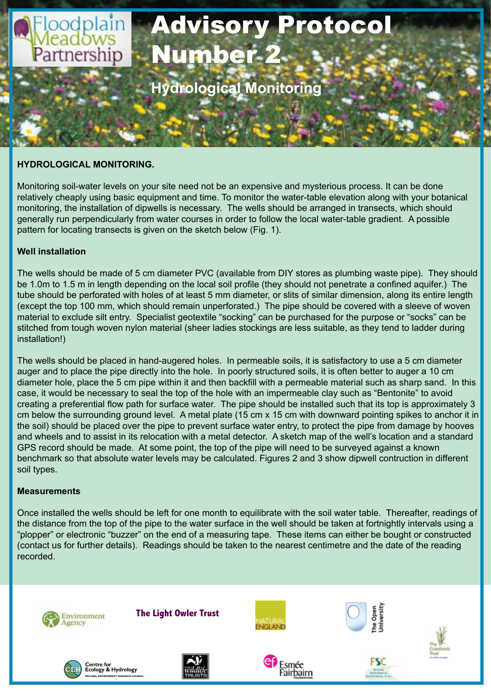

## **HYDROLOGICAL MONITORING.**

Monitoring soil-water levels on your site need not be an expensive and mysterious process. It can be done relatively cheaply using basic equipment and time. To monitor the water-table elevation along with your botanical monitoring, the installation of dipwells is necessary. The wells should be arranged in transects, which should generally run perpendicularly from water courses in order to follow the local water-table gradient. A possible pattern for locating transects is given on the sketch below (Fig. 1).

## **Well installation**

The wells should be made of 5 cm diameter PVC (available from DIY stores as plumbing waste pipe). They should be 1.0m to 1.5 m in length depending on the local soil profile (they should not penetrate a confined aquifer.) The tube should be perforated with holes of at least 5 mm diameter, or slits of similar dimension, along its entire length (except the top 100 mm, which should remain unperforated.) The pipe should be covered with a sleeve of woven material to exclude silt entry. Specialist geotextile "socking" can be purchased for the purpose or "socks" can be stitched from tough woven nylon material (sheer ladies stockings are less suitable, as they tend to ladder during installation!)

The wells should be placed in hand-augered holes. In permeable soils, it is satisfactory to use a 5 cm diameter auger and to place the pipe directly into the hole. In poorly structured soils, it is often better to auger a 10 cm diameter hole, place the 5 cm pipe within it and then backfill with a permeable material such as sharp sand. In this case, it would be necessary to seal the top of the hole with an impermeable clay such as "Bentonite" to avoid creating a preferential flow path for surface water. The pipe should be installed such that its top is approximately 3 cm below the surrounding ground level. A metal plate (15 cm x 15 cm with downward pointing spikes to anchor it in the soil) should be placed over the pipe to prevent surface water entry, to protect the pipe from damage by hooves and wheels and to assist in its relocation with a metal detector. A sketch map of the well's location and a standard GPS record should be made. At some point, the top of the pipe will need to be surveyed against a known benchmark so that absolute water levels may be calculated. Figures 2 and 3 show dipwell contruction in different soil types.

## **Measurements**

Once installed the wells should be left for one month to equilibrate with the soil water table. Thereafter, readings of the distance from the top of the pipe to the water surface in the well should be taken at fortnightly intervals using a "plopper" or electronic "buzzer" on the end of a measuring tape. These items can either be bought or constructed (contact us for further details). Readings should be taken to the nearest centimetre and the date of the reading recorded.